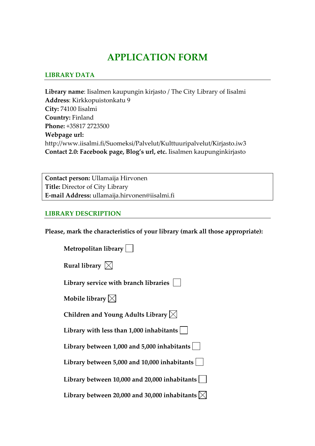# **APPLICATION FORM**

### **LIBRARY DATA**

**Library name**: Iisalmen kaupungin kirjasto / The City Library of Iisalmi **Address**: Kirkkopuistonkatu 9 **City:** 74100 Iisalmi **Country:** Finland **Phone:** +35817 2723500 **Webpage url:** http://www.iisalmi.fi/Suomeksi/Palvelut/Kulttuuripalvelut/Kirjasto.iw3 **Contact 2.0: Facebook page, Blog's url, etc.** Iisalmen kaupunginkirjasto

**Contact person:** Ullamaija Hirvonen **Title:** Director of City Library **E‐mail Address:** ullamaija.hirvonen@iisalmi.fi

#### **LIBRARY DESCRIPTION**

**Please, mark the characteristics of your library (mark all those appropriate):**

| Metropolitan library                                          |
|---------------------------------------------------------------|
| Rural library $\boxtimes$                                     |
| Library service with branch libraries                         |
| Mobile library $\boxtimes$                                    |
| Children and Young Adults Library $\boxtimes$                 |
| Library with less than 1,000 inhabitants                      |
| Library between 1,000 and 5,000 inhabitants                   |
| Library between 5,000 and 10,000 inhabitants                  |
| Library between 10,000 and 20,000 inhabitants                 |
| Library between 20,000 and 30,000 inhabitants $ \!\!\times\!$ |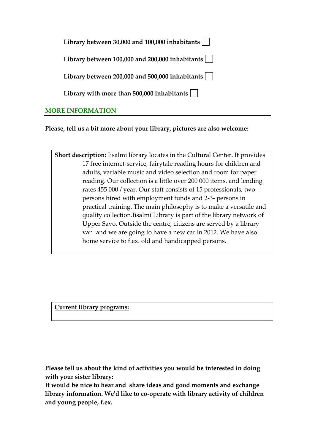| Library between 30,000 and 100,000 inhabitants $\vert \ \ \vert$      |
|-----------------------------------------------------------------------|
| Library between $100,000$ and $200,000$ inhabitants $\vert \ \ \vert$ |
| Library between 200,000 and 500,000 inhabitants $\vert \ \ \vert$     |
| Library with more than 500,000 inhabitants $\vert \ \ \vert$          |
| ,,,,,,,,,,,,,,,,                                                      |

## **MORE INFORMATION**

**Please, tell us a bit more about your library, pictures are also welcome:** 

**Short description:** Iisalmi library locates in the Cultural Center. It provides 17 free internet‐service, fairytale reading hours for children and adults, variable music and video selection and room for paper reading. Our collection is a little over 200 000 items. and lending rates 455 000 / year. Our staff consists of 15 professionals, two persons hired with employment funds and 2‐3‐ persons in practical training. The main philosophy is to make a versatile and quality collection.Iisalmi Library is part of the library network of Upper Savo. Outside the centre, citizens are served by a library van and we are going to have a new car in 2012. We have also home service to f.ex. old and handicapped persons.

**Current library programs:** 

**Please tell us about the kind of activities you would be interested in doing with your sister library:**

**It would be nice to hear and share ideas and good moments and exchange library information. Weʹd like to co‐operate with library activity of children and young people, f.ex.**